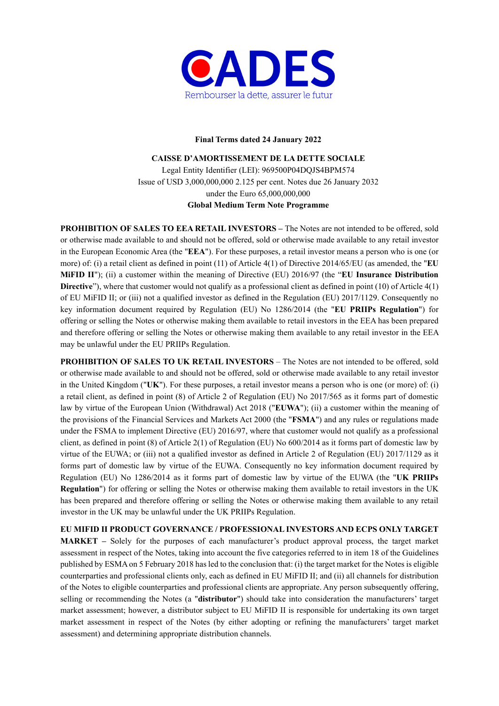

#### **Final Terms dated 24 January 2022**

# **CAISSE D'AMORTISSEMENT DE LA DETTE SOCIALE** Legal Entity Identifier (LEI): 969500P04DQJS4BPM574 Issue of USD 3,000,000,000 2.125 per cent. Notes due 26 January 2032 under the Euro 65,000,000,000 **Global Medium Term Note Programme**

**PROHIBITION OF SALES TO EEA RETAIL INVESTORS – The Notes are not intended to be offered, sold** or otherwise made available to and should not be offered, sold or otherwise made available to any retail investor in the European Economic Area (the "**EEA**"). For these purposes, a retail investor means a person who is one (or more) of: (i) a retail client as defined in point (11) of Article 4(1) of Directive 2014/65/EU (as amended, the "**EU MiFID II**"); (ii) a customer within the meaning of Directive (EU) 2016/97 (the "**EU Insurance Distribution Directive**"), where that customer would not qualify as a professional client as defined in point (10) of Article 4(1) of EU MiFID II; or (iii) not a qualified investor as defined in the Regulation (EU) 2017/1129. Consequently no key information document required by Regulation (EU) No 1286/2014 (the "**EU PRIIPs Regulation**") for offering or selling the Notes or otherwise making them available to retail investors in the EEA has been prepared and therefore offering or selling the Notes or otherwise making them available to any retail investor in the EEA may be unlawful under the EU PRIIPs Regulation.

**PROHIBITION OF SALES TO UK RETAIL INVESTORS** – The Notes are not intended to be offered, sold or otherwise made available to and should not be offered, sold or otherwise made available to any retail investor in the United Kingdom ("**UK**"). For these purposes, a retail investor means a person who is one (or more) of: (i) a retail client, as defined in point (8) of Article 2 of Regulation (EU) No 2017/565 as it forms part of domestic law by virtue of the European Union (Withdrawal) Act 2018 ("**EUWA**"); (ii) a customer within the meaning of the provisions of the Financial Services and Markets Act 2000 (the "**FSMA**") and any rules or regulations made under the FSMA to implement Directive (EU) 2016/97, where that customer would not qualify as a professional client, as defined in point (8) of Article 2(1) of Regulation (EU) No 600/2014 as it forms part of domestic law by virtue of the EUWA; or (iii) not a qualified investor as defined in Article 2 of Regulation (EU) 2017/1129 as it forms part of domestic law by virtue of the EUWA. Consequently no key information document required by Regulation (EU) No 1286/2014 as it forms part of domestic law by virtue of the EUWA (the "**UK PRIIPs Regulation**") for offering or selling the Notes or otherwise making them available to retail investors in the UK has been prepared and therefore offering or selling the Notes or otherwise making them available to any retail investor in the UK may be unlawful under the UK PRIIPs Regulation.

**EU MIFID II PRODUCT GOVERNANCE / PROFESSIONAL INVESTORS AND ECPS ONLY TARGET MARKET –** Solely for the purposes of each manufacturer's product approval process, the target market assessment in respect of the Notes, taking into account the five categories referred to in item 18 of the Guidelines published by ESMA on 5 February 2018 has led to the conclusion that: (i) the target market for the Notes is eligible counterparties and professional clients only, each as defined in EU MiFID II; and (ii) all channels for distribution of the Notes to eligible counterparties and professional clients are appropriate. Any person subsequently offering, selling or recommending the Notes (a "**distributor**") should take into consideration the manufacturers' target market assessment; however, a distributor subject to EU MiFID II is responsible for undertaking its own target market assessment in respect of the Notes (by either adopting or refining the manufacturers' target market assessment) and determining appropriate distribution channels.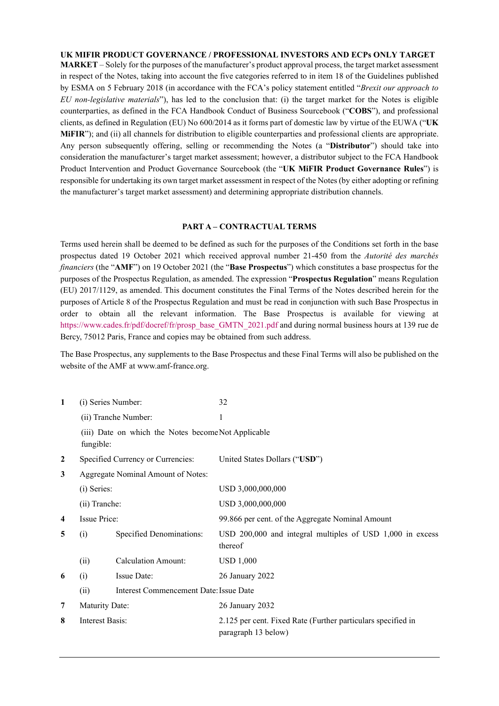**UK MIFIR PRODUCT GOVERNANCE / PROFESSIONAL INVESTORS AND ECPs ONLY TARGET MARKET** – Solely for the purposes of the manufacturer's product approval process, the target market assessment in respect of the Notes, taking into account the five categories referred to in item 18 of the Guidelines published by ESMA on 5 February 2018 (in accordance with the FCA's policy statement entitled "*Brexit our approach to EU non-legislative materials*"), has led to the conclusion that: (i) the target market for the Notes is eligible counterparties, as defined in the FCA Handbook Conduct of Business Sourcebook ("**COBS**"), and professional clients, as defined in Regulation (EU) No 600/2014 as it forms part of domestic law by virtue of the EUWA ("**UK MiFIR**"); and (ii) all channels for distribution to eligible counterparties and professional clients are appropriate. Any person subsequently offering, selling or recommending the Notes (a "**Distributor**") should take into consideration the manufacturer's target market assessment; however, a distributor subject to the FCA Handbook Product Intervention and Product Governance Sourcebook (the "**UK MiFIR Product Governance Rules**") is responsible for undertaking its own target market assessment in respect of the Notes (by either adopting or refining the manufacturer's target market assessment) and determining appropriate distribution channels.

#### **PART A – CONTRACTUAL TERMS**

Terms used herein shall be deemed to be defined as such for the purposes of the Conditions set forth in the base prospectus dated 19 October 2021 which received approval number 21-450 from the *Autorité des marchés financiers* (the "**AMF**") on 19 October 2021 (the "**Base Prospectus**") which constitutes a base prospectus for the purposes of the Prospectus Regulation, as amended. The expression "**Prospectus Regulation**" means Regulation (EU) 2017/1129, as amended. This document constitutes the Final Terms of the Notes described herein for the purposes of Article 8 of the Prospectus Regulation and must be read in conjunction with such Base Prospectus in order to obtain all the relevant information. The Base Prospectus is available for viewing at https://www.cades.fr/pdf/docref/fr/prosp\_base\_GMTN\_2021.pdf and during normal business hours at 139 rue de Bercy, 75012 Paris, France and copies may be obtained from such address.

The Base Prospectus, any supplements to the Base Prospectus and these Final Terms will also be published on the website of the AMF at www.amf-france.org.

| 1                |                                                                  | (i) Series Number:                | 32                                                                                  |
|------------------|------------------------------------------------------------------|-----------------------------------|-------------------------------------------------------------------------------------|
|                  | (ii) Tranche Number:                                             |                                   | 1                                                                                   |
|                  | (iii) Date on which the Notes become Not Applicable<br>fungible: |                                   |                                                                                     |
| $\boldsymbol{2}$ |                                                                  | Specified Currency or Currencies: | United States Dollars ("USD")                                                       |
| 3                | Aggregate Nominal Amount of Notes:                               |                                   |                                                                                     |
|                  | (i) Series:                                                      |                                   | USD 3,000,000,000                                                                   |
|                  | (ii) Tranche:                                                    |                                   | USD 3,000,000,000                                                                   |
| 4                | Issue Price:                                                     |                                   | 99.866 per cent. of the Aggregate Nominal Amount                                    |
| 5                | Specified Denominations:<br>(i)                                  |                                   | USD 200,000 and integral multiples of USD 1,000 in excess<br>thereof                |
|                  | (ii)                                                             | <b>Calculation Amount:</b>        | <b>USD 1,000</b>                                                                    |
| 6                | (i)                                                              | Issue Date:                       | 26 January 2022                                                                     |
|                  | (ii)<br>Interest Commencement Date: Issue Date                   |                                   |                                                                                     |
| 7                | Maturity Date:                                                   |                                   | 26 January 2032                                                                     |
| 8                | <b>Interest Basis:</b>                                           |                                   | 2.125 per cent. Fixed Rate (Further particulars specified in<br>paragraph 13 below) |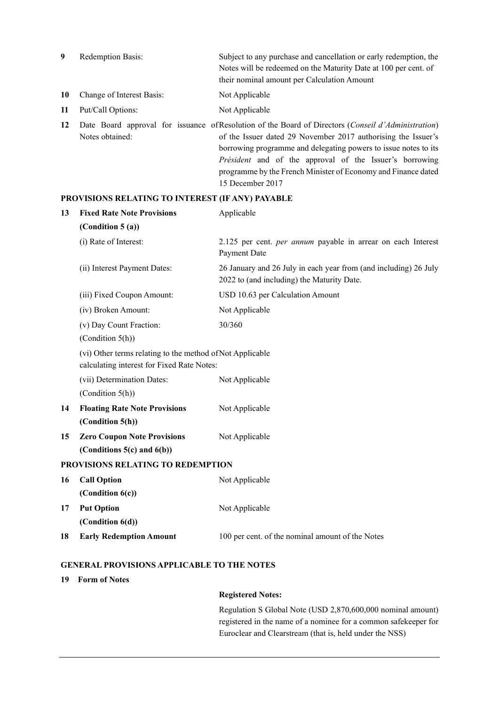| 9  | Redemption Basis:         | Subject to any purchase and cancellation or early redemption, the<br>Notes will be redeemed on the Maturity Date at 100 per cent. of<br>their nominal amount per Calculation Amount                                                                                                                                                                                                            |  |  |
|----|---------------------------|------------------------------------------------------------------------------------------------------------------------------------------------------------------------------------------------------------------------------------------------------------------------------------------------------------------------------------------------------------------------------------------------|--|--|
| 10 | Change of Interest Basis: | Not Applicable                                                                                                                                                                                                                                                                                                                                                                                 |  |  |
| 11 | Put/Call Options:         | Not Applicable                                                                                                                                                                                                                                                                                                                                                                                 |  |  |
| 12 | Notes obtained:           | Date Board approval for issuance of Resolution of the Board of Directors (Conseil d'Administration)<br>of the Issuer dated 29 November 2017 authorising the Issuer's<br>borrowing programme and delegating powers to issue notes to its<br><i>Président</i> and of the approval of the Issuer's borrowing<br>programme by the French Minister of Economy and Finance dated<br>15 December 2017 |  |  |

# **PROVISIONS RELATING TO INTEREST (IF ANY) PAYABLE**

| 13 | <b>Fixed Rate Note Provisions</b>                                                                       | Applicable                                                                                                     |  |  |  |
|----|---------------------------------------------------------------------------------------------------------|----------------------------------------------------------------------------------------------------------------|--|--|--|
|    | (Condition 5(a))                                                                                        |                                                                                                                |  |  |  |
|    | (i) Rate of Interest:                                                                                   | 2.125 per cent. per annum payable in arrear on each Interest<br>Payment Date                                   |  |  |  |
|    | (ii) Interest Payment Dates:                                                                            | 26 January and 26 July in each year from (and including) 26 July<br>2022 to (and including) the Maturity Date. |  |  |  |
|    | (iii) Fixed Coupon Amount:                                                                              | USD 10.63 per Calculation Amount                                                                               |  |  |  |
|    | (iv) Broken Amount:                                                                                     | Not Applicable                                                                                                 |  |  |  |
|    | (v) Day Count Fraction:<br>(Condition 5(h))                                                             | 30/360                                                                                                         |  |  |  |
|    | (vi) Other terms relating to the method of Not Applicable<br>calculating interest for Fixed Rate Notes: |                                                                                                                |  |  |  |
|    | (vii) Determination Dates:<br>(Condition 5(h))                                                          | Not Applicable                                                                                                 |  |  |  |
| 14 | <b>Floating Rate Note Provisions</b><br>(Condition 5(h))                                                | Not Applicable                                                                                                 |  |  |  |
| 15 | <b>Zero Coupon Note Provisions</b><br>(Conditions $5(c)$ and $6(b)$ )                                   | Not Applicable                                                                                                 |  |  |  |
|    | PROVISIONS RELATING TO REDEMPTION                                                                       |                                                                                                                |  |  |  |
| 16 | <b>Call Option</b><br>(Condition 6(c))                                                                  | Not Applicable                                                                                                 |  |  |  |
| 17 | <b>Put Option</b><br>(Condition 6(d))                                                                   | Not Applicable                                                                                                 |  |  |  |
| 18 | <b>Early Redemption Amount</b>                                                                          | 100 per cent. of the nominal amount of the Notes                                                               |  |  |  |
|    | <b>GENERAL PROVISIONS APPLICABLE TO THE NOTES</b>                                                       |                                                                                                                |  |  |  |

#### **19 Form of Notes**

## **Registered Notes:**

Regulation S Global Note (USD 2,870,600,000 nominal amount) registered in the name of a nominee for a common safekeeper for Euroclear and Clearstream (that is, held under the NSS)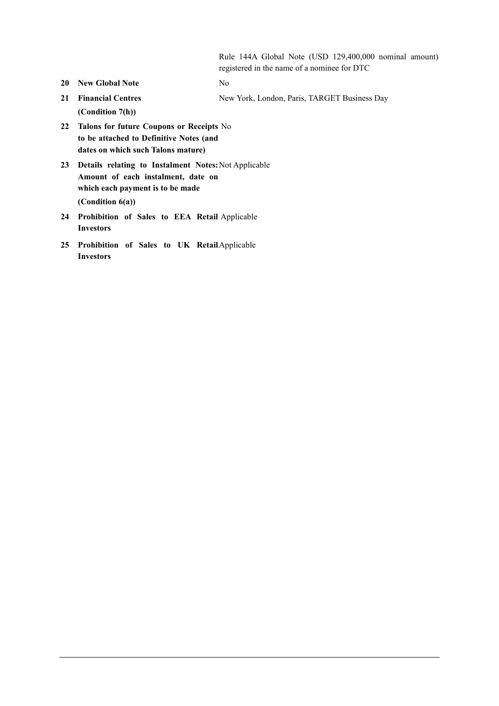Rule 144A Global Note (USD 129,400,000 nominal amount) registered in the name of a nominee for DTC

- **20 New Global Note** No
- **21 Financial Centres (Condition 7(h))** New York, London, Paris, TARGET Business Day
- 22 Talons for future Coupons or Receipts No **to be attached to Definitive Notes (and dates on which such Talons mature)**
- **23 Details relating to Instalment Notes:**  Not Applicable **Amount of each instalment, date on which each payment is to be made (Condition 6(a))**
- 24 Prohibition of Sales to EEA Retail Applicable **Investors**
- 25 Prohibition of Sales to UK Retail Applicable **Investors**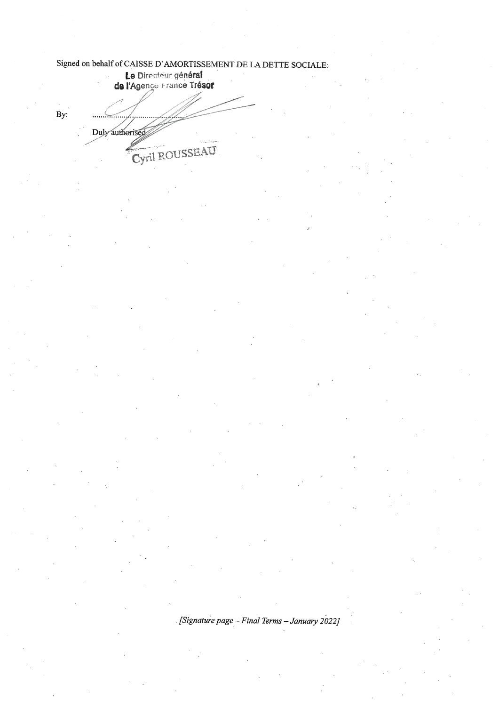Signed on behalf of CAISSE D'AMORTISSEMENT DE LA DETTE SOCIALE: Le Directeur général By: Duly authorised Cyril ROUSSEAU

[Signature page - Final Terms - January 2022]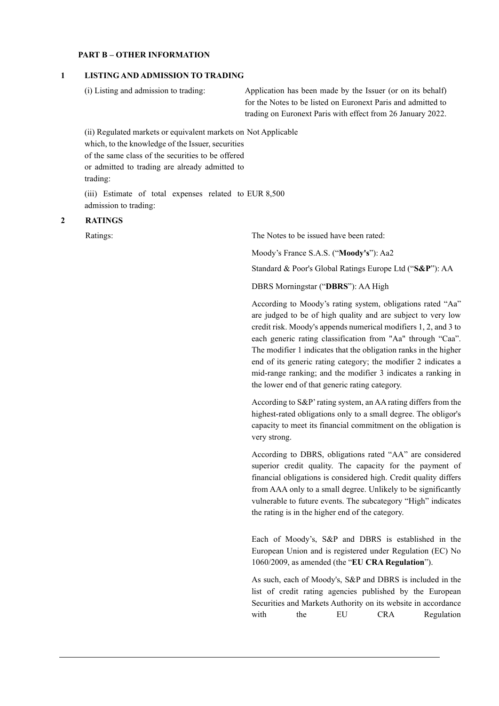#### **PART B – OTHER INFORMATION**

#### **1 LISTING AND ADMISSION TO TRADING**

(i) Listing and admission to trading: Application has been made by the Issuer (or on its behalf) for the Notes to be listed on Euronext Paris and admitted to trading on Euronext Paris with effect from 26 January 2022.

(ii) Regulated markets or equivalent markets on Not Applicable which, to the knowledge of the Issuer, securities of the same class of the securities to be offered or admitted to trading are already admitted to trading:

(iii) Estimate of total expenses related to EUR 8,500 admission to trading:

## **2 RATINGS**

Ratings: The Notes to be issued have been rated:

Moody's France S.A.S. ("**Moody's**"): Aa2

Standard & Poor's Global Ratings Europe Ltd ("**S&P**"): AA

DBRS Morningstar ("**DBRS**"): AA High

According to Moody's rating system, obligations rated "Aa" are judged to be of high quality and are subject to very low credit risk. Moody's appends numerical modifiers 1, 2, and 3 to each generic rating classification from "Aa" through "Caa". The modifier 1 indicates that the obligation ranks in the higher end of its generic rating category; the modifier 2 indicates a mid-range ranking; and the modifier 3 indicates a ranking in the lower end of that generic rating category.

According to S&P' rating system, an AA rating differs from the highest-rated obligations only to a small degree. The obligor's capacity to meet its financial commitment on the obligation is very strong.

According to DBRS, obligations rated "AA" are considered superior credit quality. The capacity for the payment of financial obligations is considered high. Credit quality differs from AAA only to a small degree. Unlikely to be significantly vulnerable to future events. The subcategory "High" indicates the rating is in the higher end of the category.

Each of Moody's, S&P and DBRS is established in the European Union and is registered under Regulation (EC) No 1060/2009, as amended (the "**EU CRA Regulation**").

As such, each of Moody's, S&P and DBRS is included in the list of credit rating agencies published by the European Securities and Markets Authority on its website in accordance with the EU CRA Regulation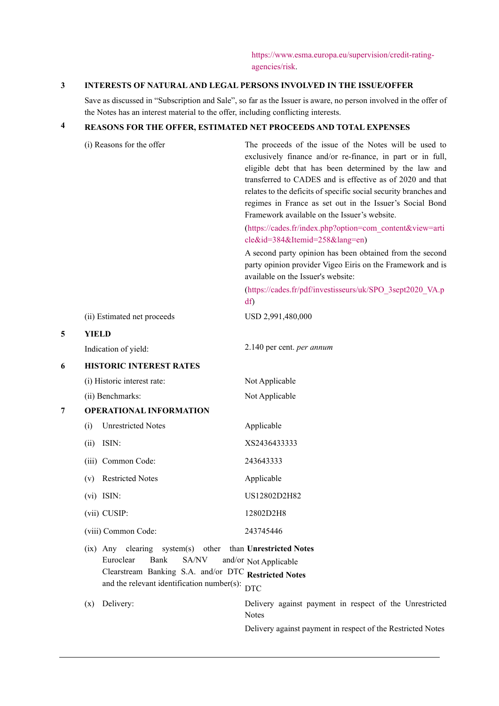https://www.esma.europa.eu/supervision/credit-ratingagencies/risk.

## **3 INTERESTS OF NATURAL AND LEGAL PERSONS INVOLVED IN THE ISSUE/OFFER**

Save as discussed in "Subscription and Sale", so far as the Issuer is aware, no person involved in the offer of the Notes has an interest material to the offer, including conflicting interests.

# **4 REASONS FOR THE OFFER, ESTIMATED NET PROCEEDS AND TOTAL EXPENSES**

|   | (i) Reasons for the offer                                                                                                                                                                                      | The proceeds of the issue of the Notes will be used to<br>exclusively finance and/or re-finance, in part or in full,<br>eligible debt that has been determined by the law and<br>transferred to CADES and is effective as of 2020 and that<br>relates to the deficits of specific social security branches and<br>regimes in France as set out in the Issuer's Social Bond<br>Framework available on the Issuer's website. |  |  |
|---|----------------------------------------------------------------------------------------------------------------------------------------------------------------------------------------------------------------|----------------------------------------------------------------------------------------------------------------------------------------------------------------------------------------------------------------------------------------------------------------------------------------------------------------------------------------------------------------------------------------------------------------------------|--|--|
|   |                                                                                                                                                                                                                | (https://cades.fr/index.php?option=com_content&view=arti<br>cle&id=384&Itemid=258⟨=en)                                                                                                                                                                                                                                                                                                                                     |  |  |
|   |                                                                                                                                                                                                                | A second party opinion has been obtained from the second<br>party opinion provider Vigeo Eiris on the Framework and is<br>available on the Issuer's website:                                                                                                                                                                                                                                                               |  |  |
|   |                                                                                                                                                                                                                | (https://cades.fr/pdf/investisseurs/uk/SPO_3sept2020_VA.p<br>df)                                                                                                                                                                                                                                                                                                                                                           |  |  |
|   | (ii) Estimated net proceeds                                                                                                                                                                                    | USD 2,991,480,000                                                                                                                                                                                                                                                                                                                                                                                                          |  |  |
| 5 | <b>YIELD</b>                                                                                                                                                                                                   |                                                                                                                                                                                                                                                                                                                                                                                                                            |  |  |
|   | Indication of yield:                                                                                                                                                                                           | 2.140 per cent. per annum                                                                                                                                                                                                                                                                                                                                                                                                  |  |  |
| 6 | <b>HISTORIC INTEREST RATES</b>                                                                                                                                                                                 |                                                                                                                                                                                                                                                                                                                                                                                                                            |  |  |
|   | (i) Historic interest rate:                                                                                                                                                                                    | Not Applicable                                                                                                                                                                                                                                                                                                                                                                                                             |  |  |
|   | (ii) Benchmarks:                                                                                                                                                                                               | Not Applicable                                                                                                                                                                                                                                                                                                                                                                                                             |  |  |
| 7 | <b>OPERATIONAL INFORMATION</b>                                                                                                                                                                                 |                                                                                                                                                                                                                                                                                                                                                                                                                            |  |  |
|   | <b>Unrestricted Notes</b><br>(i)                                                                                                                                                                               | Applicable                                                                                                                                                                                                                                                                                                                                                                                                                 |  |  |
|   | ISIN:<br>(ii)                                                                                                                                                                                                  | XS2436433333                                                                                                                                                                                                                                                                                                                                                                                                               |  |  |
|   | (iii) Common Code:                                                                                                                                                                                             | 243643333                                                                                                                                                                                                                                                                                                                                                                                                                  |  |  |
|   | <b>Restricted Notes</b><br>(v)                                                                                                                                                                                 | Applicable                                                                                                                                                                                                                                                                                                                                                                                                                 |  |  |
|   | $(vi)$ ISIN:                                                                                                                                                                                                   | US12802D2H82                                                                                                                                                                                                                                                                                                                                                                                                               |  |  |
|   | (vii) CUSIP:                                                                                                                                                                                                   | 12802D2H8                                                                                                                                                                                                                                                                                                                                                                                                                  |  |  |
|   | (viii) Common Code:                                                                                                                                                                                            | 243745446                                                                                                                                                                                                                                                                                                                                                                                                                  |  |  |
|   | (ix) Any clearing system(s) other than Unrestricted Notes<br>SA/NV<br>Euroclear<br>Bank<br>Clearstream Banking S.A. and/or DTC Restricted Notes<br>and the relevant identification number(s): $\overline{DTC}$ | and/or Not Applicable                                                                                                                                                                                                                                                                                                                                                                                                      |  |  |
|   | Delivery:<br>(x)                                                                                                                                                                                               | Delivery against payment in respect of the Unrestricted<br><b>Notes</b><br>Delivery against payment in respect of the Restricted Notes                                                                                                                                                                                                                                                                                     |  |  |
|   |                                                                                                                                                                                                                |                                                                                                                                                                                                                                                                                                                                                                                                                            |  |  |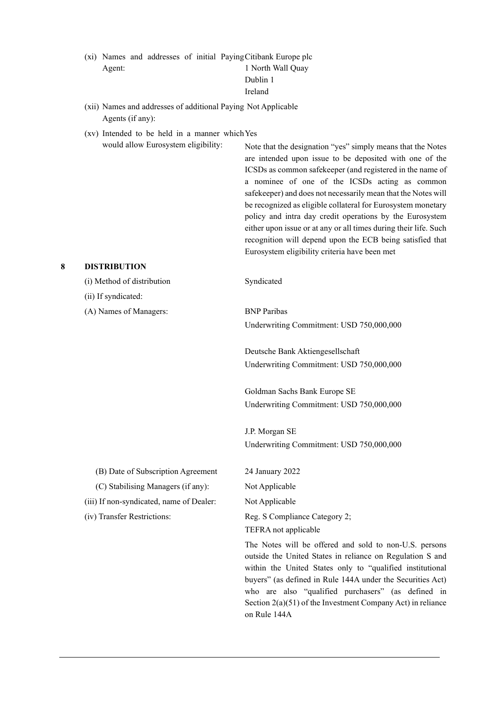|        |  |  | (xi) Names and addresses of initial Paying Citibank Europe plc |
|--------|--|--|----------------------------------------------------------------|
| Agent: |  |  | 1 North Wall Ouay                                              |
|        |  |  | Dublin 1                                                       |
|        |  |  | Ireland                                                        |
|        |  |  |                                                                |

- (xii) Names and addresses of additional Paying Not Applicable Agents (if any):
- (xv) Intended to be held in a manner which Yes would allow Eurosystem eligibility:

Note that the designation "yes" simply means that the Notes are intended upon issue to be deposited with one of the ICSDs as common safekeeper (and registered in the name of a nominee of one of the ICSDs acting as common safekeeper) and does not necessarily mean that the Notes will be recognized as eligible collateral for Eurosystem monetary policy and intra day credit operations by the Eurosystem either upon issue or at any or all times during their life. Such recognition will depend upon the ECB being satisfied that Eurosystem eligibility criteria have been met

#### **8 DISTRIBUTION**

(i) Method of distribution Syndicated (ii) If syndicated: (A) Names of Managers: BNP Paribas Underwriting Commitment: USD 750,000,000

Deutsche Bank Aktiengesellschaft

Underwriting Commitment: USD 750,000,000

Goldman Sachs Bank Europe SE Underwriting Commitment: USD 750,000,000

J.P. Morgan SE Underwriting Commitment: USD 750,000,000

(B) Date of Subscription Agreement 24 January 2022 (C) Stabilising Managers (if any): Not Applicable (iii) If non-syndicated, name of Dealer: Not Applicable (iv) Transfer Restrictions: Reg. S Compliance Category 2; TEFRA not applicable

> The Notes will be offered and sold to non-U.S. persons outside the United States in reliance on Regulation S and within the United States only to "qualified institutional buyers" (as defined in Rule 144A under the Securities Act) who are also "qualified purchasers" (as defined in Section 2(a)(51) of the Investment Company Act) in reliance on Rule 144A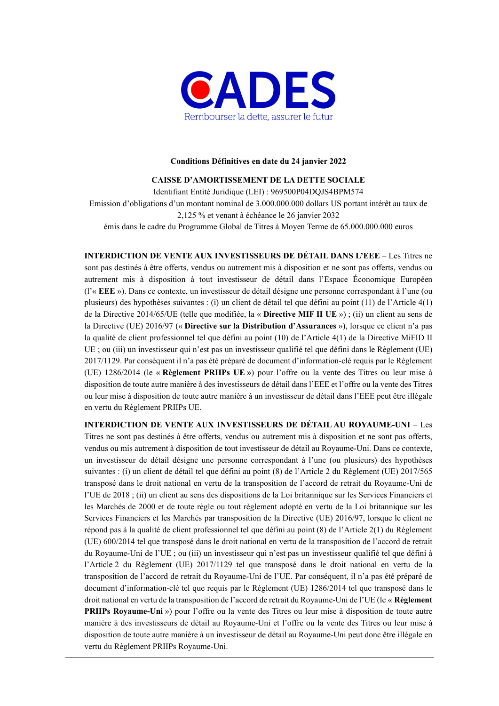

#### **Conditions Définitives en date du 24 janvier 2022**

#### **CAISSE D'AMORTISSEMENT DE LA DETTE SOCIALE**

Identifiant Entité Juridique (LEI) : 969500P04DQJS4BPM574 Emission d'obligations d'un montant nominal de 3.000.000.000 dollars US portant intérêt au taux de 2,125 % et venant à échéance le 26 janvier 2032 émis dans le cadre du Programme Global de Titres à Moyen Terme de 65.000.000.000 euros

**INTERDICTION DE VENTE AUX INVESTISSEURS DE DÉTAIL DANS L'EEE** – Les Titres ne sont pas destinés à être offerts, vendus ou autrement mis à disposition et ne sont pas offerts, vendus ou autrement mis à disposition à tout investisseur de détail dans l'Espace Économique Européen (l'« **EEE** »). Dans ce contexte, un investisseur de détail désigne une personne correspondant à l'une (ou plusieurs) des hypothèses suivantes : (i) un client de détail tel que défini au point (11) de l'Article 4(1) de la Directive 2014/65/UE (telle que modifiée, la « **Directive MIF II UE** ») ; (ii) un client au sens de la Directive (UE) 2016/97 (« **Directive sur la Distribution d'Assurances** »), lorsque ce client n'a pas la qualité de client professionnel tel que défini au point (10) de l'Article 4(1) de la Directive MiFID II UE ; ou (iii) un investisseur qui n'est pas un investisseur qualifié tel que défini dans le Règlement (UE) 2017/1129. Par conséquent il n'a pas été préparé de document d'information-clé requis par le Règlement (UE) 1286/2014 (le « **Règlement PRIIPs UE »**) pour l'offre ou la vente des Titres ou leur mise à disposition de toute autre manière à des investisseurs de détail dans l'EEE et l'offre ou la vente des Titres ou leur mise à disposition de toute autre manière à un investisseur de détail dans l'EEE peut être illégale en vertu du Règlement PRIIPs UE.

**INTERDICTION DE VENTE AUX INVESTISSEURS DE DÉTAIL AU ROYAUME-UNI** – Les Titres ne sont pas destinés à être offerts, vendus ou autrement mis à disposition et ne sont pas offerts, vendus ou mis autrement à disposition de tout investisseur de détail au Royaume-Uni. Dans ce contexte, un investisseur de détail désigne une personne correspondant à l'une (ou plusieurs) des hypothèses suivantes : (i) un client de détail tel que défini au point (8) de l'Article 2 du Règlement (UE) 2017/565 transposé dans le droit national en vertu de la transposition de l'accord de retrait du Royaume-Uni de l'UE de 2018 ; (ii) un client au sens des dispositions de la Loi britannique sur les Services Financiers et les Marchés de 2000 et de toute règle ou tout règlement adopté en vertu de la Loi britannique sur les Services Financiers et les Marchés par transposition de la Directive (UE) 2016/97, lorsque le client ne répond pas à la qualité de client professionnel tel que défini au point (8) de l'Article 2(1) du Règlement (UE) 600/2014 tel que transposé dans le droit national en vertu de la transposition de l'accord de retrait du Royaume-Uni de l'UE ; ou (iii) un investisseur qui n'est pas un investisseur qualifié tel que défini à l'Article 2 du Règlement (UE) 2017/1129 tel que transposé dans le droit national en vertu de la transposition de l'accord de retrait du Royaume-Uni de l'UE. Par conséquent, il n'a pas été préparé de document d'information-clé tel que requis par le Règlement (UE) 1286/2014 tel que transposé dans le droit national en vertu de la transposition de l'accord de retrait du Royaume-Uni de l'UE (le « **Règlement PRIIPs Royaume-Uni** ») pour l'offre ou la vente des Titres ou leur mise à disposition de toute autre manière à des investisseurs de détail au Royaume-Uni et l'offre ou la vente des Titres ou leur mise à disposition de toute autre manière à un investisseur de détail au Royaume-Uni peut donc être illégale en vertu du Règlement PRIIPs Royaume-Uni.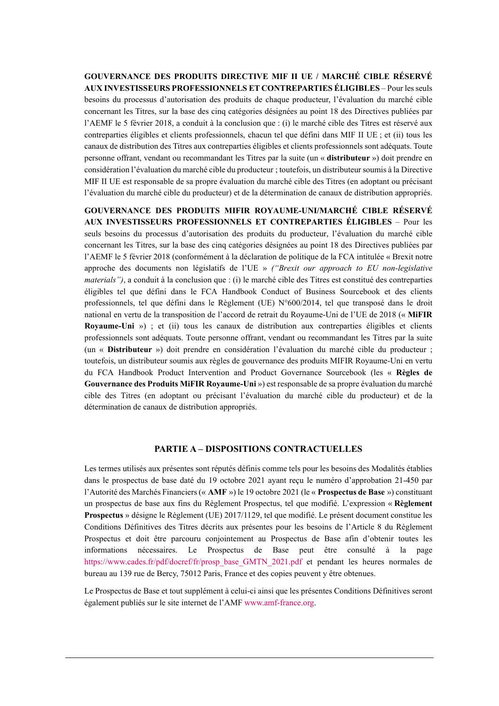**GOUVERNANCE DES PRODUITS DIRECTIVE MIF II UE / MARCHÉ CIBLE RÉSERVÉ AUX INVESTISSEURS PROFESSIONNELS ET CONTREPARTIES ÉLIGIBLES** – Pour les seuls besoins du processus d'autorisation des produits de chaque producteur, l'évaluation du marché cible concernant les Titres, sur la base des cinq catégories désignées au point 18 des Directives publiées par l'AEMF le 5 février 2018, a conduit à la conclusion que : (i) le marché cible des Titres est réservé aux contreparties éligibles et clients professionnels, chacun tel que défini dans MIF II UE ; et (ii) tous les canaux de distribution des Titres aux contreparties éligibles et clients professionnels sont adéquats. Toute personne offrant, vendant ou recommandant les Titres par la suite (un « **distributeur** ») doit prendre en considération l'évaluation du marché cible du producteur ; toutefois, un distributeur soumis à la Directive MIF II UE est responsable de sa propre évaluation du marché cible des Titres (en adoptant ou précisant l'évaluation du marché cible du producteur) et de la détermination de canaux de distribution appropriés.

**GOUVERNANCE DES PRODUITS MIFIR ROYAUME-UNI/MARCHÉ CIBLE RÉSERVÉ AUX INVESTISSEURS PROFESSIONNELS ET CONTREPARTIES ÉLIGIBLES** – Pour les seuls besoins du processus d'autorisation des produits du producteur, l'évaluation du marché cible concernant les Titres, sur la base des cinq catégories désignées au point 18 des Directives publiées par l'AEMF le 5 février 2018 (conformément à la déclaration de politique de la FCA intitulée « Brexit notre approche des documents non législatifs de l'UE » *("Brexit our approach to EU non-legislative materials"*), a conduit à la conclusion que : (i) le marché cible des Titres est constitué des contreparties éligibles tel que défini dans le FCA Handbook Conduct of Business Sourcebook et des clients professionnels, tel que défini dans le Règlement (UE) N°600/2014, tel que transposé dans le droit national en vertu de la transposition de l'accord de retrait du Royaume-Uni de l'UE de 2018 (« **MiFIR Royaume-Uni** ») ; et (ii) tous les canaux de distribution aux contreparties éligibles et clients professionnels sont adéquats. Toute personne offrant, vendant ou recommandant les Titres par la suite (un « **Distributeur** ») doit prendre en considération l'évaluation du marché cible du producteur ; toutefois, un distributeur soumis aux règles de gouvernance des produits MIFIR Royaume-Uni en vertu du FCA Handbook Product Intervention and Product Governance Sourcebook (les « **Règles de Gouvernance des Produits MiFIR Royaume-Uni** ») est responsable de sa propre évaluation du marché cible des Titres (en adoptant ou précisant l'évaluation du marché cible du producteur) et de la détermination de canaux de distribution appropriés.

### **PARTIE A – DISPOSITIONS CONTRACTUELLES**

Les termes utilisés aux présentes sont réputés définis comme tels pour les besoins des Modalités établies dans le prospectus de base daté du 19 octobre 2021 ayant reçu le numéro d'approbation 21-450 par l'Autorité des Marchés Financiers (« **AMF** ») le 19 octobre 2021 (le « **Prospectus de Base** ») constituant un prospectus de base aux fins du Règlement Prospectus, tel que modifié. L'expression « **Règlement Prospectus** » désigne le Règlement (UE) 2017/1129, tel que modifié. Le présent document constitue les Conditions Définitives des Titres décrits aux présentes pour les besoins de l'Article 8 du Règlement Prospectus et doit être parcouru conjointement au Prospectus de Base afin d'obtenir toutes les informations nécessaires. Le Prospectus de Base peut être consulté à la page https://www.cades.fr/pdf/docref/fr/prosp\_base\_GMTN\_2021.pdf et pendant les heures normales de bureau au 139 rue de Bercy, 75012 Paris, France et des copies peuvent y être obtenues.

Le Prospectus de Base et tout supplément à celui-ci ainsi que les présentes Conditions Définitives seront également publiés sur le site internet de l'AMF www.amf-france.org.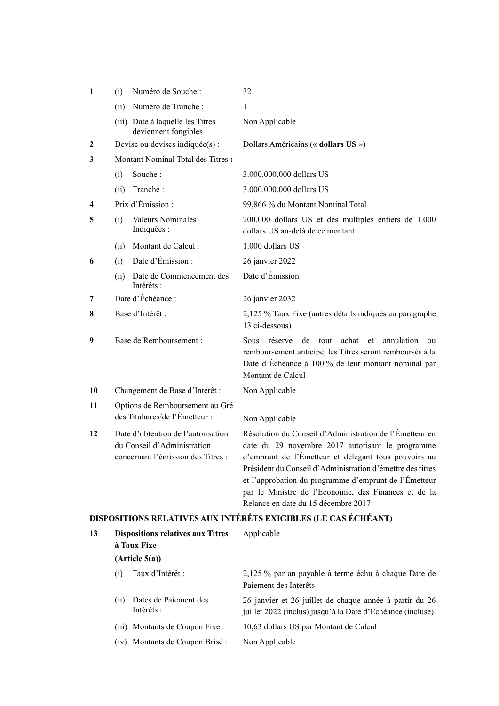| $\mathbf{1}$ | (i)  | Numéro de Souche :                                                                                      | 32                                                                                                                                                                                                                                                                                                                                                                                        |
|--------------|------|---------------------------------------------------------------------------------------------------------|-------------------------------------------------------------------------------------------------------------------------------------------------------------------------------------------------------------------------------------------------------------------------------------------------------------------------------------------------------------------------------------------|
|              | (ii) | Numéro de Tranche :                                                                                     | 1                                                                                                                                                                                                                                                                                                                                                                                         |
|              |      | (iii) Date à laquelle les Titres<br>deviennent fongibles :                                              | Non Applicable                                                                                                                                                                                                                                                                                                                                                                            |
| 2            |      | Devise ou devises indiquée(s) :                                                                         | Dollars Américains (« dollars US »)                                                                                                                                                                                                                                                                                                                                                       |
| 3            |      | Montant Nominal Total des Titres:                                                                       |                                                                                                                                                                                                                                                                                                                                                                                           |
|              | (i)  | Souche:                                                                                                 | 3.000.000.000 dollars US                                                                                                                                                                                                                                                                                                                                                                  |
|              | (ii) | Tranche:                                                                                                | 3.000.000.000 dollars US                                                                                                                                                                                                                                                                                                                                                                  |
| 4            |      | Prix d'Émission :                                                                                       | 99,866 % du Montant Nominal Total                                                                                                                                                                                                                                                                                                                                                         |
| 5            | (i)  | Valeurs Nominales<br>Indiquées :                                                                        | 200.000 dollars US et des multiples entiers de 1.000<br>dollars US au-delà de ce montant.                                                                                                                                                                                                                                                                                                 |
|              | (ii) | Montant de Calcul:                                                                                      | 1.000 dollars US                                                                                                                                                                                                                                                                                                                                                                          |
| 6            | (i)  | Date d'Émission :                                                                                       | 26 janvier 2022                                                                                                                                                                                                                                                                                                                                                                           |
|              | (ii) | Date de Commencement des<br>Intérêts :                                                                  | Date d'Émission                                                                                                                                                                                                                                                                                                                                                                           |
| 7            |      | Date d'Échéance :                                                                                       | 26 janvier 2032                                                                                                                                                                                                                                                                                                                                                                           |
| 8            |      | Base d'Intérêt :                                                                                        | 2,125 % Taux Fixe (autres détails indiqués au paragraphe<br>13 ci-dessous)                                                                                                                                                                                                                                                                                                                |
| 9            |      | Base de Remboursement :                                                                                 | réserve<br>de<br>achat<br>annulation<br>Sous<br>tout<br>et<br>ou<br>remboursement anticipé, les Titres seront remboursés à la<br>Date d'Échéance à 100 % de leur montant nominal par<br>Montant de Calcul                                                                                                                                                                                 |
| 10           |      | Changement de Base d'Intérêt :                                                                          | Non Applicable                                                                                                                                                                                                                                                                                                                                                                            |
| 11           |      | Options de Remboursement au Gré<br>des Titulaires/de l'Émetteur :                                       | Non Applicable                                                                                                                                                                                                                                                                                                                                                                            |
| 12           |      | Date d'obtention de l'autorisation<br>du Conseil d'Administration<br>concernant l'émission des Titres : | Résolution du Conseil d'Administration de l'Émetteur en<br>date du 29 novembre 2017 autorisant le programme<br>d'emprunt de l'Émetteur et délégant tous pouvoirs au<br>Président du Conseil d'Administration d'émettre des titres<br>et l'approbation du programme d'emprunt de l'Émetteur<br>par le Ministre de l'Economie, des Finances et de la<br>Relance en date du 15 décembre 2017 |
|              |      |                                                                                                         | DISPOSITIONS RELATIVES AUX INTÉRÊTS EXIGIBLES (LE CAS ÉCHÉANT)                                                                                                                                                                                                                                                                                                                            |
| 13           |      | <b>Dispositions relatives aux Titres</b><br>à Taux Fixe                                                 | Applicable                                                                                                                                                                                                                                                                                                                                                                                |
|              |      | (Article 5(a))                                                                                          |                                                                                                                                                                                                                                                                                                                                                                                           |
|              | (i)  | Taux d'Intérêt :                                                                                        | 2,125 % par an payable à terme échu à chaque Date de<br>Paiement des Intérêts                                                                                                                                                                                                                                                                                                             |
|              | (ii) | Dates de Paiement des<br>Intérêts :                                                                     | 26 janvier et 26 juillet de chaque année à partir du 26<br>juillet 2022 (inclus) jusqu'à la Date d'Echéance (incluse).                                                                                                                                                                                                                                                                    |
|              |      | (iii) Montants de Coupon Fixe :                                                                         | 10,63 dollars US par Montant de Calcul                                                                                                                                                                                                                                                                                                                                                    |
|              |      | (iv) Montants de Coupon Brisé :                                                                         | Non Applicable                                                                                                                                                                                                                                                                                                                                                                            |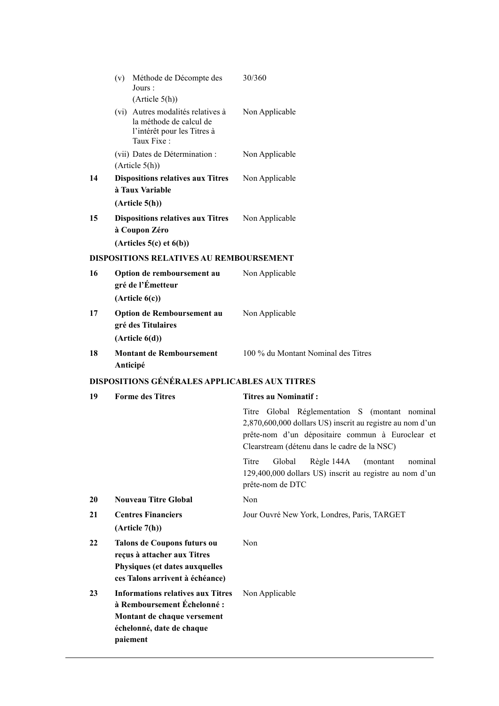|    | (v) | Méthode de Décompte des<br>Jours:<br>(Article 5(h))                                                                                            | 30/360                                                                                                                                                                                                          |
|----|-----|------------------------------------------------------------------------------------------------------------------------------------------------|-----------------------------------------------------------------------------------------------------------------------------------------------------------------------------------------------------------------|
|    |     | (vi) Autres modalités relatives à<br>la méthode de calcul de<br>l'intérêt pour les Titres à<br>Taux Fixe:                                      | Non Applicable                                                                                                                                                                                                  |
|    |     | (vii) Dates de Détermination :<br>(Article 5(h))                                                                                               | Non Applicable                                                                                                                                                                                                  |
| 14 |     | <b>Dispositions relatives aux Titres</b>                                                                                                       | Non Applicable                                                                                                                                                                                                  |
|    |     | à Taux Variable                                                                                                                                |                                                                                                                                                                                                                 |
|    |     | (Article 5(h))                                                                                                                                 |                                                                                                                                                                                                                 |
| 15 |     | <b>Dispositions relatives aux Titres</b><br>à Coupon Zéro                                                                                      | Non Applicable                                                                                                                                                                                                  |
|    |     | (Articles 5(c) et 6(b))                                                                                                                        |                                                                                                                                                                                                                 |
|    |     | DISPOSITIONS RELATIVES AU REMBOURSEMENT                                                                                                        |                                                                                                                                                                                                                 |
| 16 |     | Option de remboursement au<br>gré de l'Émetteur<br>(Article 6(c))                                                                              | Non Applicable                                                                                                                                                                                                  |
| 17 |     | Option de Remboursement au<br>gré des Titulaires<br>(Article 6(d))                                                                             | Non Applicable                                                                                                                                                                                                  |
| 18 |     | <b>Montant de Remboursement</b><br>Anticipé                                                                                                    | 100 % du Montant Nominal des Titres                                                                                                                                                                             |
|    |     | <b>DISPOSITIONS GÉNÉRALES APPLICABLES AUX TITRES</b>                                                                                           |                                                                                                                                                                                                                 |
| 19 |     | <b>Forme des Titres</b>                                                                                                                        | <b>Titres au Nominatif:</b>                                                                                                                                                                                     |
|    |     |                                                                                                                                                | Titre Global Réglementation S (montant nominal<br>2,870,600,000 dollars US) inscrit au registre au nom d'un<br>prête-nom d'un dépositaire commun à Euroclear et<br>Clearstream (détenu dans le cadre de la NSC) |
|    |     |                                                                                                                                                | Global<br>Règle 144A<br>Titre<br>(montant)<br>nominal<br>129,400,000 dollars US) inscrit au registre au nom d'un<br>prête-nom de DTC                                                                            |
| 20 |     | <b>Nouveau Titre Global</b>                                                                                                                    | Non                                                                                                                                                                                                             |
| 21 |     | <b>Centres Financiers</b><br>(Article 7(h))                                                                                                    | Jour Ouvré New York, Londres, Paris, TARGET                                                                                                                                                                     |
| 22 |     | Talons de Coupons futurs ou<br>reçus à attacher aux Titres<br>Physiques (et dates auxquelles<br>ces Talons arrivent à échéance)                | Non                                                                                                                                                                                                             |
| 23 |     | <b>Informations relatives aux Titres</b><br>à Remboursement Échelonné:<br>Montant de chaque versement<br>échelonné, date de chaque<br>paiement | Non Applicable                                                                                                                                                                                                  |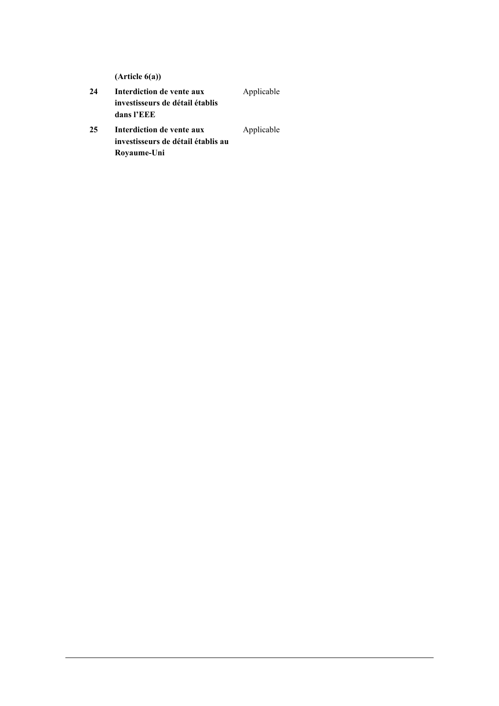**(Article 6(a))** 

- **24 Interdiction de vente aux investisseurs de détail établis dans l'EEE**  Applicable
- **25 Interdiction de vente aux investisseurs de détail établis au Royaume-Uni**  Applicable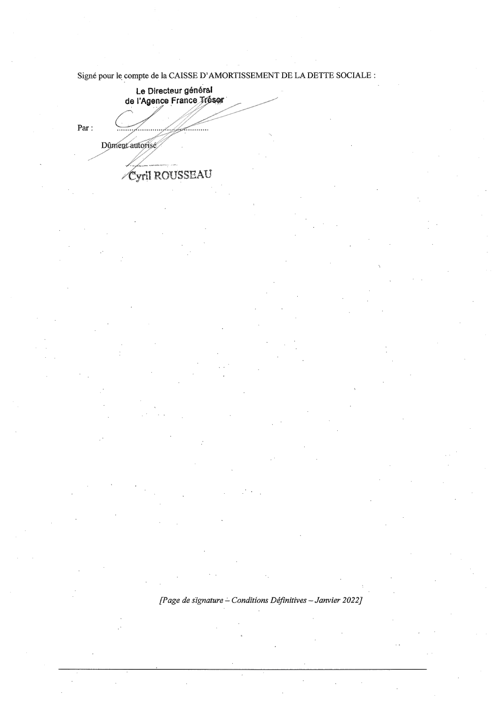Signé pour le compte de la CAISSE D'AMORTISSEMENT DE LA DETTE SOCIALE :

Le Directeur général<br>de l'Agence France Vésor Par: Dûment autorisé Cyril ROUSSEAU

[Page de signature - Conditions Définitives - Janvier 2022]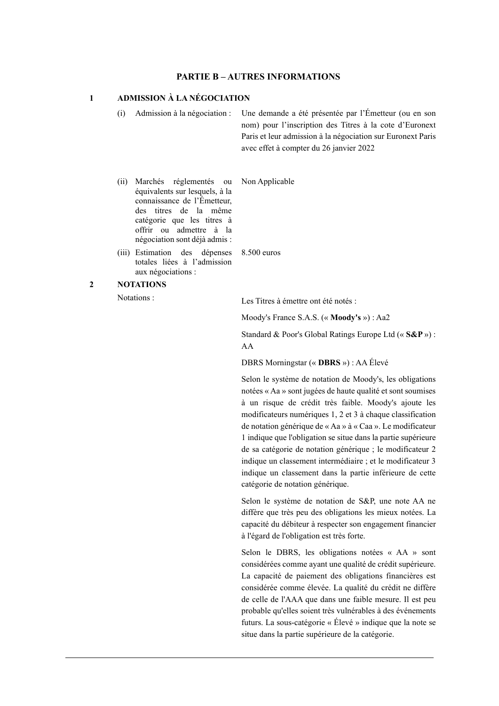#### **PARTIE B – AUTRES INFORMATIONS**

#### **1 ADMISSION À LA NÉGOCIATION**

(i) Admission à la négociation : Une demande a été présentée par l'Émetteur (ou en son nom) pour l'inscription des Titres à la cote d'Euronext Paris et leur admission à la négociation sur Euronext Paris avec effet à compter du 26 janvier 2022

- (ii) Marchés réglementés ou équivalents sur lesquels, à la connaissance de l'Émetteur, des titres de la même catégorie que les titres à offrir ou admettre à la négociation sont déjà admis : Non Applicable
- (iii) Estimation des dépenses totales liées à l'admission aux négociations :

#### **2 NOTATIONS**

8.500 euros

Notations : Les Titres à émettre ont été notés :

Moody's France S.A.S. (« **Moody's** ») : Aa2

Standard & Poor's Global Ratings Europe Ltd (« **S&P** ») : AA

DBRS Morningstar (« **DBRS** ») : AA Élevé

Selon le système de notation de Moody's, les obligations notées « Aa » sont jugées de haute qualité et sont soumises à un risque de crédit très faible. Moody's ajoute les modificateurs numériques 1, 2 et 3 à chaque classification de notation générique de « Aa » à « Caa ». Le modificateur 1 indique que l'obligation se situe dans la partie supérieure de sa catégorie de notation générique ; le modificateur 2 indique un classement intermédiaire ; et le modificateur 3 indique un classement dans la partie inférieure de cette catégorie de notation générique.

Selon le système de notation de S&P, une note AA ne diffère que très peu des obligations les mieux notées. La capacité du débiteur à respecter son engagement financier à l'égard de l'obligation est très forte.

Selon le DBRS, les obligations notées « AA » sont considérées comme ayant une qualité de crédit supérieure. La capacité de paiement des obligations financières est considérée comme élevée. La qualité du crédit ne diffère de celle de l'AAA que dans une faible mesure. Il est peu probable qu'elles soient très vulnérables à des événements futurs. La sous-catégorie « Élevé » indique que la note se situe dans la partie supérieure de la catégorie.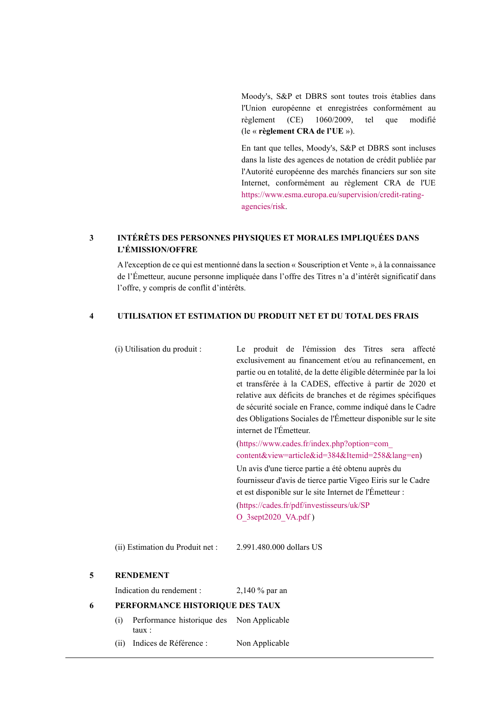Moody's, S&P et DBRS sont toutes trois établies dans l'Union européenne et enregistrées conformément au règlement (CE) 1060/2009, tel que modifié (le « **règlement CRA de l'UE** »).

En tant que telles, Moody's, S&P et DBRS sont incluses dans la liste des agences de notation de crédit publiée par l'Autorité européenne des marchés financiers sur son site Internet, conformément au règlement CRA de l'UE https://www.esma.europa.eu/supervision/credit-ratingagencies/risk.

# **3 INTÉRÊTS DES PERSONNES PHYSIQUES ET MORALES IMPLIQUÉES DANS L'ÉMISSION/OFFRE**

A l'exception de ce qui est mentionné dans la section « Souscription et Vente », à la connaissance de l'Émetteur, aucune personne impliquée dans l'offre des Titres n'a d'intérêt significatif dans l'offre, y compris de conflit d'intérêts.

## **4 UTILISATION ET ESTIMATION DU PRODUIT NET ET DU TOTAL DES FRAIS**

|   | (i) Utilisation du produit :                             | Le produit de l'émission des Titres sera affecté<br>exclusivement au financement et/ou au refinancement, en<br>partie ou en totalité, de la dette éligible déterminée par la loi<br>et transférée à la CADES, effective à partir de 2020 et<br>relative aux déficits de branches et de régimes spécifiques<br>de sécurité sociale en France, comme indiqué dans le Cadre<br>des Obligations Sociales de l'Émetteur disponible sur le site<br>internet de l'Émetteur.<br>(https://www.cades.fr/index.php?option=com<br>content&view=article&id=384&Itemid=258⟨=en)<br>Un avis d'une tierce partie a été obtenu auprès du<br>fournisseur d'avis de tierce partie Vigeo Eiris sur le Cadre<br>et est disponible sur le site Internet de l'Émetteur :<br>(https://cades.fr/pdf/investisseurs/uk/SP<br>O_3sept2020_VA.pdf) |  |  |
|---|----------------------------------------------------------|-----------------------------------------------------------------------------------------------------------------------------------------------------------------------------------------------------------------------------------------------------------------------------------------------------------------------------------------------------------------------------------------------------------------------------------------------------------------------------------------------------------------------------------------------------------------------------------------------------------------------------------------------------------------------------------------------------------------------------------------------------------------------------------------------------------------------|--|--|
|   | (ii) Estimation du Produit net :                         | 2.991.480.000 dollars US                                                                                                                                                                                                                                                                                                                                                                                                                                                                                                                                                                                                                                                                                                                                                                                              |  |  |
| 5 | <b>RENDEMENT</b>                                         |                                                                                                                                                                                                                                                                                                                                                                                                                                                                                                                                                                                                                                                                                                                                                                                                                       |  |  |
|   | Indication du rendement :                                | $2,140%$ par an                                                                                                                                                                                                                                                                                                                                                                                                                                                                                                                                                                                                                                                                                                                                                                                                       |  |  |
| 6 | PERFORMANCE HISTORIQUE DES TAUX                          |                                                                                                                                                                                                                                                                                                                                                                                                                                                                                                                                                                                                                                                                                                                                                                                                                       |  |  |
|   | Performance historique des Non Applicable<br>(i)<br>tau: |                                                                                                                                                                                                                                                                                                                                                                                                                                                                                                                                                                                                                                                                                                                                                                                                                       |  |  |
|   | Indices de Référence :<br>(ii)                           | Non Applicable                                                                                                                                                                                                                                                                                                                                                                                                                                                                                                                                                                                                                                                                                                                                                                                                        |  |  |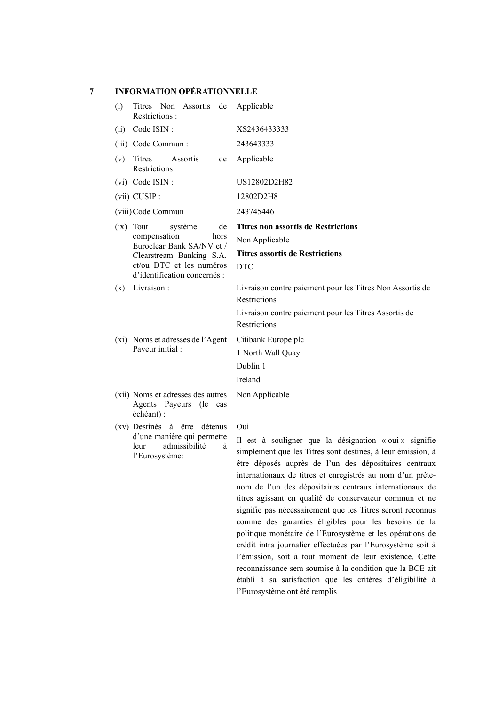| 7 |     | <b>INFORMATION OPÉRATIONNELLE</b>                                                                                                                                         |                                                                                                                                                    |
|---|-----|---------------------------------------------------------------------------------------------------------------------------------------------------------------------------|----------------------------------------------------------------------------------------------------------------------------------------------------|
|   | (i) | Titres Non Assortis de<br>Restrictions:                                                                                                                                   | Applicable                                                                                                                                         |
|   |     | (ii) Code ISIN :                                                                                                                                                          | XS2436433333                                                                                                                                       |
|   |     | (iii) Code Commun:                                                                                                                                                        | 243643333                                                                                                                                          |
|   |     | (v) Titres<br>Assortis<br>de<br>Restrictions                                                                                                                              | Applicable                                                                                                                                         |
|   |     | (vi) Code ISIN :                                                                                                                                                          | US12802D2H82                                                                                                                                       |
|   |     | (vii) CUSIP:                                                                                                                                                              | 12802D2H8                                                                                                                                          |
|   |     | (viii) Code Commun                                                                                                                                                        | 243745446                                                                                                                                          |
|   |     | $(ix)$ Tout<br>système<br>de<br>compensation<br>hors<br>Euroclear Bank SA/NV et /<br>Clearstream Banking S.A.<br>et/ou DTC et les numéros<br>d'identification concernés : | <b>Titres non assortis de Restrictions</b><br>Non Applicable<br><b>Titres assortis de Restrictions</b><br><b>DTC</b>                               |
|   |     | $(x)$ Livraison :                                                                                                                                                         | Livraison contre paiement pour les Titres Non Assortis de<br>Restrictions<br>Livraison contre paiement pour les Titres Assortis de<br>Restrictions |
|   |     | (xi) Noms et adresses de l'Agent<br>Payeur initial :                                                                                                                      | Citibank Europe plc<br>1 North Wall Quay<br>Dublin 1<br>Ireland                                                                                    |
|   |     | (xii) Noms et adresses des autres<br>Agents Payeurs (le cas<br>échéant) :                                                                                                 | Non Applicable                                                                                                                                     |
|   |     | (xv) Destinés à être détenus<br>d'une manière qui permette<br>admissibilité<br>leur<br>á                                                                                  | Oui<br>Il est à souligner que la désignation « oui » signifi                                                                                       |

igner que la désignation « oui » signifie simplement que les Titres sont destinés, à leur émission, à être déposés auprès de l'un des dépositaires centraux internationaux de titres et enregistrés au nom d'un prêtenom de l'un des dépositaires centraux internationaux de titres agissant en qualité de conservateur commun et ne signifie pas nécessairement que les Titres seront reconnus comme des garanties éligibles pour les besoins de la politique monétaire de l'Eurosystème et les opérations de crédit intra journalier effectuées par l'Eurosystème soit à l'émission, soit à tout moment de leur existence. Cette reconnaissance sera soumise à la condition que la BCE ait établi à sa satisfaction que les critères d'éligibilité à l'Eurosystème ont été remplis

l'Eurosystème: